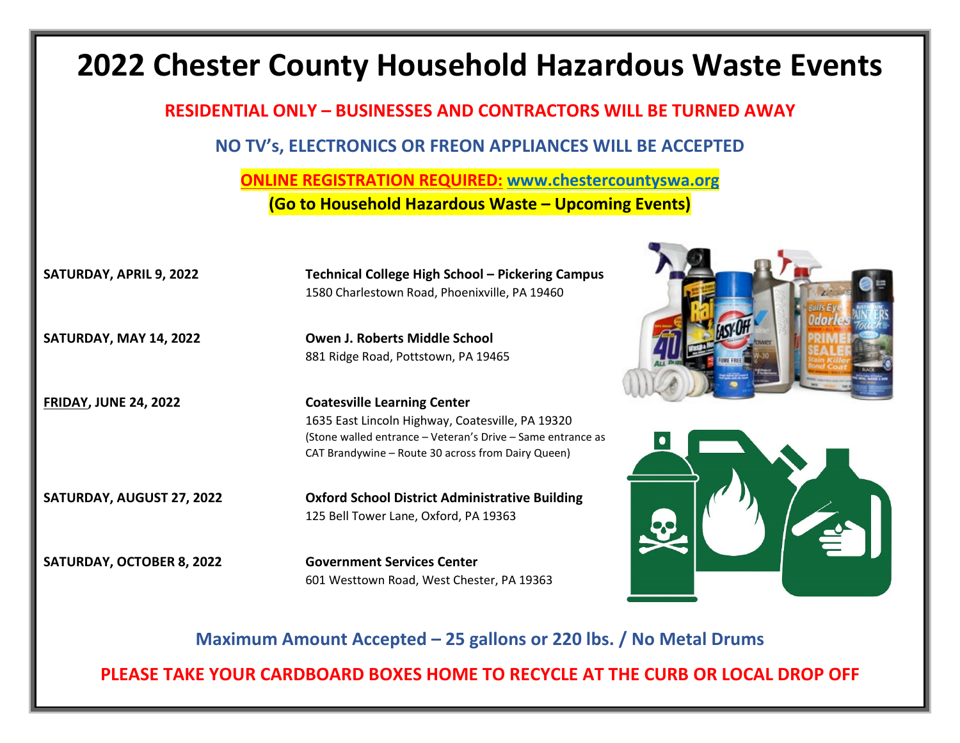## **2022 Chester County Household Hazardous Waste Events RESIDENTIAL ONLY – BUSINESSES AND CONTRACTORS WILL BE TURNED AWAY NO TV's, ELECTRONICS OR FREON APPLIANCES WILL BE ACCEPTED ONLINE REGISTRATION REQUIRED: [www.chestercountyswa.org](http://www.chestercountyswa.org/) (Go to Household Hazardous Waste – Upcoming Events) SATURDAY, APRIL 9, 2022 Technical College High School – Pickering Campus** 1580 Charlestown Road, Phoenixville, PA 19460 **SATURDAY, MAY 14, 2022 Owen J. Roberts Middle School** 881 Ridge Road, Pottstown, PA 19465 **FRIDAY, JUNE 24, 2022 Coatesville Learning Center** 1635 East Lincoln Highway, Coatesville, PA 19320 (Stone walled entrance – Veteran's Drive – Same entrance as CAT Brandywine – Route 30 across from Dairy Queen) **SATURDAY, AUGUST 27, 2022 Oxford School District Administrative Building** 125 Bell Tower Lane, Oxford, PA 19363 **SATURDAY, OCTOBER 8, 2022 Government Services Center** 601 Westtown Road, West Chester, PA 19363

**Maximum Amount Accepted – 25 gallons or 220 lbs. / No Metal Drums**

**PLEASE TAKE YOUR CARDBOARD BOXES HOME TO RECYCLE AT THE CURB OR LOCAL DROP OFF**